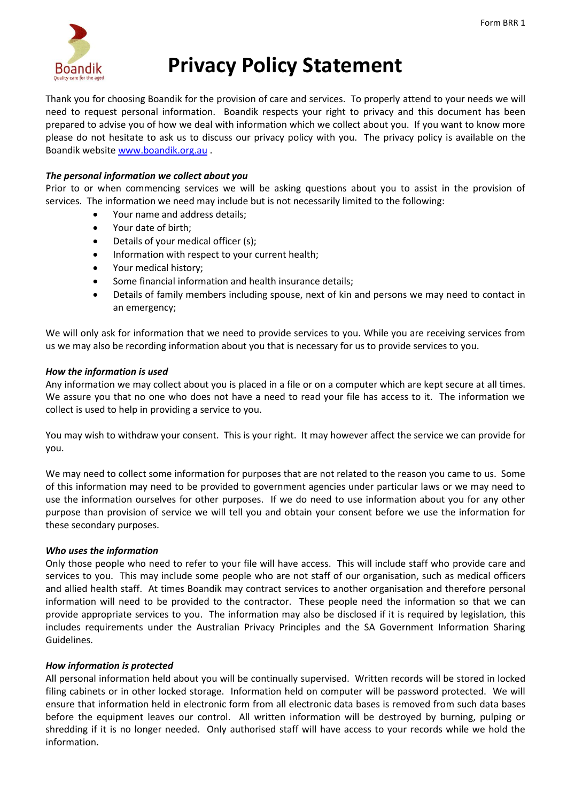

# **Privacy Policy Statement**

Thank you for choosing Boandik for the provision of care and services. To properly attend to your needs we will need to request personal information. Boandik respects your right to privacy and this document has been prepared to advise you of how we deal with information which we collect about you. If you want to know more please do not hesitate to ask us to discuss our privacy policy with you. The privacy policy is available on the Boandik website [www.boandik.org.au](http://www.boandiklodge.org.au/) .

## *The personal information we collect about you*

Prior to or when commencing services we will be asking questions about you to assist in the provision of services. The information we need may include but is not necessarily limited to the following:

- Your name and address details;
- Your date of birth;
- Details of your medical officer (s);
- Information with respect to your current health;
- Your medical history;
- Some financial information and health insurance details;
- Details of family members including spouse, next of kin and persons we may need to contact in an emergency;

We will only ask for information that we need to provide services to you. While you are receiving services from us we may also be recording information about you that is necessary for us to provide services to you.

### *How the information is used*

Any information we may collect about you is placed in a file or on a computer which are kept secure at all times. We assure you that no one who does not have a need to read your file has access to it. The information we collect is used to help in providing a service to you.

You may wish to withdraw your consent. This is your right. It may however affect the service we can provide for you.

We may need to collect some information for purposes that are not related to the reason you came to us. Some of this information may need to be provided to government agencies under particular laws or we may need to use the information ourselves for other purposes. If we do need to use information about you for any other purpose than provision of service we will tell you and obtain your consent before we use the information for these secondary purposes.

## *Who uses the information*

Only those people who need to refer to your file will have access. This will include staff who provide care and services to you. This may include some people who are not staff of our organisation, such as medical officers and allied health staff. At times Boandik may contract services to another organisation and therefore personal information will need to be provided to the contractor. These people need the information so that we can provide appropriate services to you. The information may also be disclosed if it is required by legislation, this includes requirements under the Australian Privacy Principles and the SA Government Information Sharing Guidelines.

## *How information is protected*

All personal information held about you will be continually supervised. Written records will be stored in locked filing cabinets or in other locked storage. Information held on computer will be password protected. We will ensure that information held in electronic form from all electronic data bases is removed from such data bases before the equipment leaves our control. All written information will be destroyed by burning, pulping or shredding if it is no longer needed. Only authorised staff will have access to your records while we hold the information.